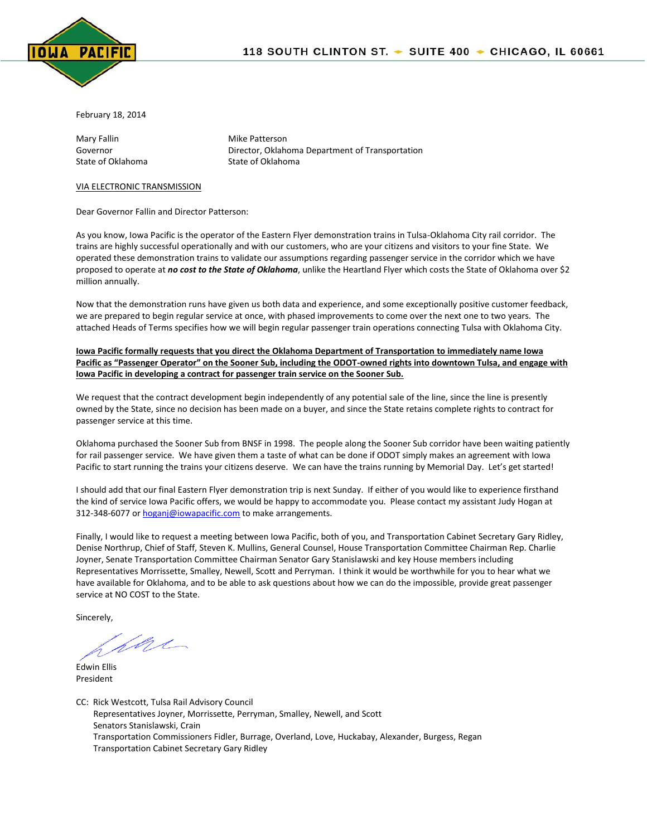

February 18, 2014

Mary Fallin Mary Fallin Mike Patterson State of Oklahoma<br>
State of Oklahoma

Governor **Director, Oklahoma Department of Transportation** 

## VIA ELECTRONIC TRANSMISSION

Dear Governor Fallin and Director Patterson:

As you know, Iowa Pacific is the operator of the Eastern Flyer demonstration trains in Tulsa-Oklahoma City rail corridor. The trains are highly successful operationally and with our customers, who are your citizens and visitors to your fine State. We operated these demonstration trains to validate our assumptions regarding passenger service in the corridor which we have proposed to operate at *no cost to the State of Oklahoma*, unlike the Heartland Flyer which costs the State of Oklahoma over \$2 million annually.

Now that the demonstration runs have given us both data and experience, and some exceptionally positive customer feedback, we are prepared to begin regular service at once, with phased improvements to come over the next one to two years. The attached Heads of Terms specifies how we will begin regular passenger train operations connecting Tulsa with Oklahoma City.

**Iowa Pacific formally requests that you direct the Oklahoma Department of Transportation to immediately name Iowa Pacific as "Passenger Operator" on the Sooner Sub, including the ODOT-owned rights into downtown Tulsa, and engage with Iowa Pacific in developing a contract for passenger train service on the Sooner Sub.**

We request that the contract development begin independently of any potential sale of the line, since the line is presently owned by the State, since no decision has been made on a buyer, and since the State retains complete rights to contract for passenger service at this time.

Oklahoma purchased the Sooner Sub from BNSF in 1998. The people along the Sooner Sub corridor have been waiting patiently for rail passenger service. We have given them a taste of what can be done if ODOT simply makes an agreement with Iowa Pacific to start running the trains your citizens deserve. We can have the trains running by Memorial Day. Let's get started!

I should add that our final Eastern Flyer demonstration trip is next Sunday. If either of you would like to experience firsthand the kind of service Iowa Pacific offers, we would be happy to accommodate you. Please contact my assistant Judy Hogan at 312-348-6077 o[r hoganj@iowapacific.com](mailto:hoganj@iowapacific.com) to make arrangements.

Finally, I would like to request a meeting between Iowa Pacific, both of you, and Transportation Cabinet Secretary Gary Ridley, Denise Northrup, Chief of Staff, Steven K. Mullins, General Counsel, House Transportation Committee Chairman Rep. Charlie Joyner, Senate Transportation Committee Chairman Senator Gary Stanislawski and key House members including Representatives Morrissette, Smalley, Newell, Scott and Perryman. I think it would be worthwhile for you to hear what we have available for Oklahoma, and to be able to ask questions about how we can do the impossible, provide great passenger service at NO COST to the State.

Sincerely,

fore

Edwin Ellis President

CC: Rick Westcott, Tulsa Rail Advisory Council Representatives Joyner, Morrissette, Perryman, Smalley, Newell, and Scott Senators Stanislawski, Crain Transportation Commissioners Fidler, Burrage, Overland, Love, Huckabay, Alexander, Burgess, Regan Transportation Cabinet Secretary Gary Ridley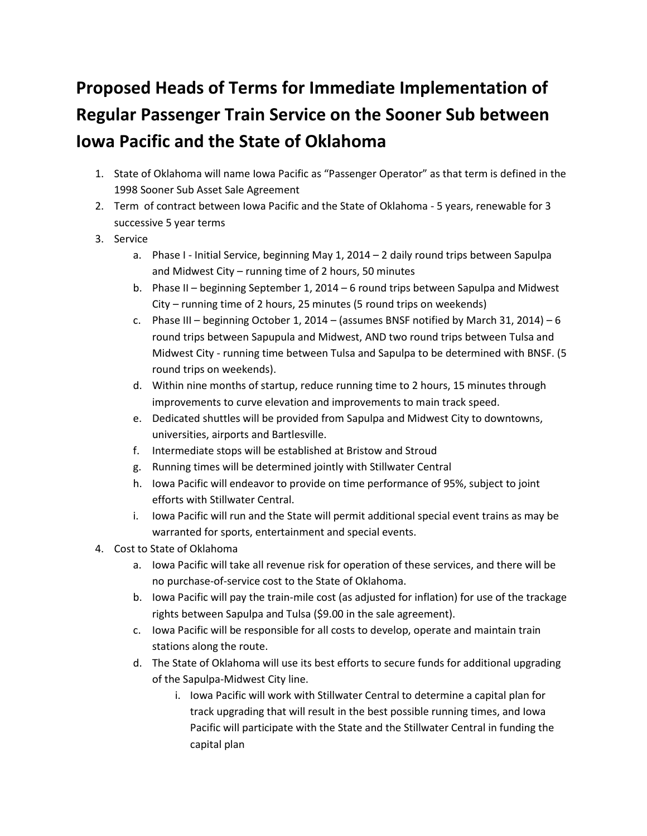## **Proposed Heads of Terms for Immediate Implementation of Regular Passenger Train Service on the Sooner Sub between Iowa Pacific and the State of Oklahoma**

- 1. State of Oklahoma will name Iowa Pacific as "Passenger Operator" as that term is defined in the 1998 Sooner Sub Asset Sale Agreement
- 2. Term of contract between Iowa Pacific and the State of Oklahoma 5 years, renewable for 3 successive 5 year terms
- 3. Service
	- a. Phase I Initial Service, beginning May 1, 2014 2 daily round trips between Sapulpa and Midwest City – running time of 2 hours, 50 minutes
	- b. Phase II beginning September 1, 2014 6 round trips between Sapulpa and Midwest City – running time of 2 hours, 25 minutes (5 round trips on weekends)
	- c. Phase III beginning October 1, 2014 (assumes BNSF notified by March 31, 2014) 6 round trips between Sapupula and Midwest, AND two round trips between Tulsa and Midwest City - running time between Tulsa and Sapulpa to be determined with BNSF. (5 round trips on weekends).
	- d. Within nine months of startup, reduce running time to 2 hours, 15 minutes through improvements to curve elevation and improvements to main track speed.
	- e. Dedicated shuttles will be provided from Sapulpa and Midwest City to downtowns, universities, airports and Bartlesville.
	- f. Intermediate stops will be established at Bristow and Stroud
	- g. Running times will be determined jointly with Stillwater Central
	- h. Iowa Pacific will endeavor to provide on time performance of 95%, subject to joint efforts with Stillwater Central.
	- i. Iowa Pacific will run and the State will permit additional special event trains as may be warranted for sports, entertainment and special events.
- 4. Cost to State of Oklahoma
	- a. Iowa Pacific will take all revenue risk for operation of these services, and there will be no purchase-of-service cost to the State of Oklahoma.
	- b. Iowa Pacific will pay the train-mile cost (as adjusted for inflation) for use of the trackage rights between Sapulpa and Tulsa (\$9.00 in the sale agreement).
	- c. Iowa Pacific will be responsible for all costs to develop, operate and maintain train stations along the route.
	- d. The State of Oklahoma will use its best efforts to secure funds for additional upgrading of the Sapulpa-Midwest City line.
		- i. Iowa Pacific will work with Stillwater Central to determine a capital plan for track upgrading that will result in the best possible running times, and Iowa Pacific will participate with the State and the Stillwater Central in funding the capital plan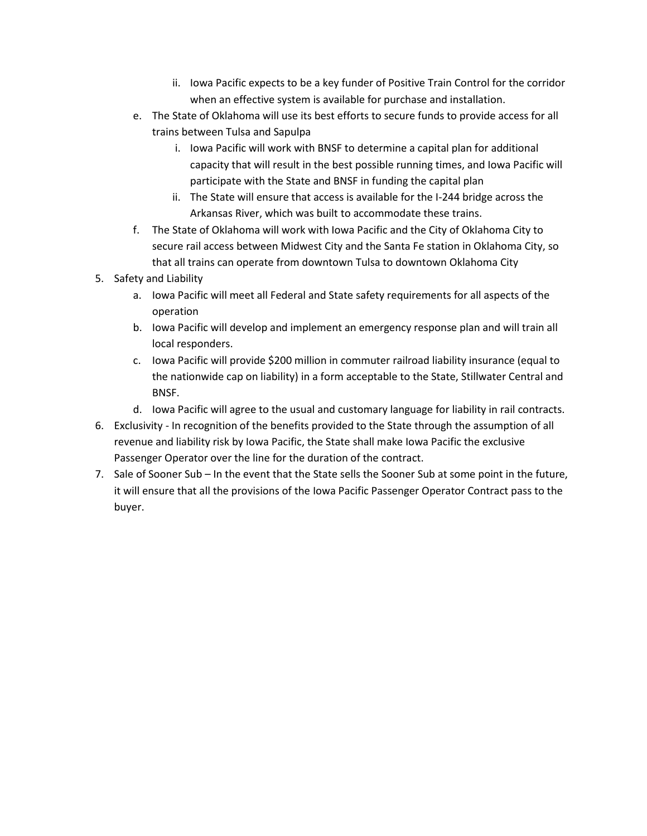- ii. Iowa Pacific expects to be a key funder of Positive Train Control for the corridor when an effective system is available for purchase and installation.
- e. The State of Oklahoma will use its best efforts to secure funds to provide access for all trains between Tulsa and Sapulpa
	- i. Iowa Pacific will work with BNSF to determine a capital plan for additional capacity that will result in the best possible running times, and Iowa Pacific will participate with the State and BNSF in funding the capital plan
	- ii. The State will ensure that access is available for the I-244 bridge across the Arkansas River, which was built to accommodate these trains.
- f. The State of Oklahoma will work with Iowa Pacific and the City of Oklahoma City to secure rail access between Midwest City and the Santa Fe station in Oklahoma City, so that all trains can operate from downtown Tulsa to downtown Oklahoma City
- 5. Safety and Liability
	- a. Iowa Pacific will meet all Federal and State safety requirements for all aspects of the operation
	- b. Iowa Pacific will develop and implement an emergency response plan and will train all local responders.
	- c. Iowa Pacific will provide \$200 million in commuter railroad liability insurance (equal to the nationwide cap on liability) in a form acceptable to the State, Stillwater Central and BNSF.
	- d. Iowa Pacific will agree to the usual and customary language for liability in rail contracts.
- 6. Exclusivity In recognition of the benefits provided to the State through the assumption of all revenue and liability risk by Iowa Pacific, the State shall make Iowa Pacific the exclusive Passenger Operator over the line for the duration of the contract.
- 7. Sale of Sooner Sub In the event that the State sells the Sooner Sub at some point in the future, it will ensure that all the provisions of the Iowa Pacific Passenger Operator Contract pass to the buyer.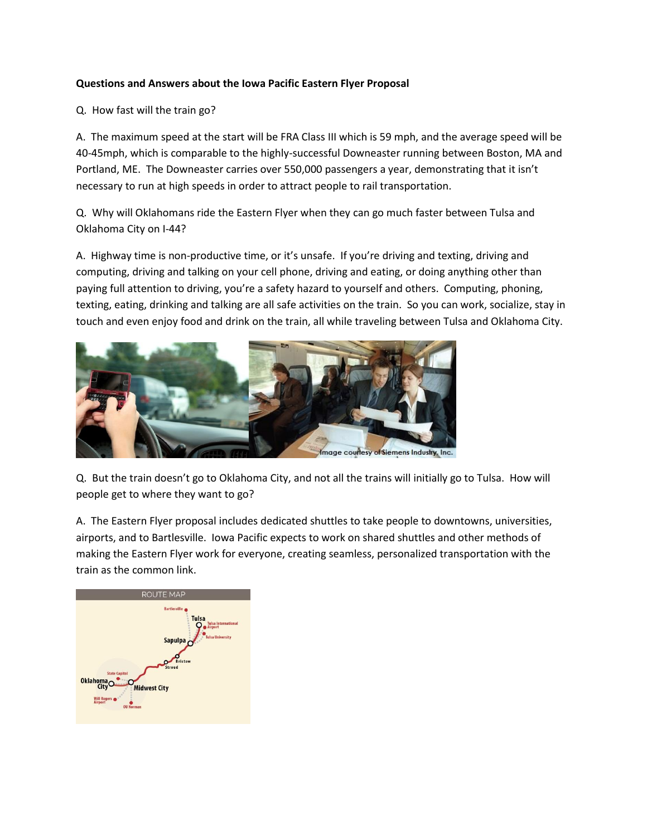## **Questions and Answers about the Iowa Pacific Eastern Flyer Proposal**

Q. How fast will the train go?

A. The maximum speed at the start will be FRA Class III which is 59 mph, and the average speed will be 40-45mph, which is comparable to the highly-successful Downeaster running between Boston, MA and Portland, ME. The Downeaster carries over 550,000 passengers a year, demonstrating that it isn't necessary to run at high speeds in order to attract people to rail transportation.

Q. Why will Oklahomans ride the Eastern Flyer when they can go much faster between Tulsa and Oklahoma City on I-44?

A. Highway time is non-productive time, or it's unsafe. If you're driving and texting, driving and computing, driving and talking on your cell phone, driving and eating, or doing anything other than paying full attention to driving, you're a safety hazard to yourself and others. Computing, phoning, texting, eating, drinking and talking are all safe activities on the train. So you can work, socialize, stay in touch and even enjoy food and drink on the train, all while traveling between Tulsa and Oklahoma City.



Q. But the train doesn't go to Oklahoma City, and not all the trains will initially go to Tulsa. How will people get to where they want to go?

A. The Eastern Flyer proposal includes dedicated shuttles to take people to downtowns, universities, airports, and to Bartlesville. Iowa Pacific expects to work on shared shuttles and other methods of making the Eastern Flyer work for everyone, creating seamless, personalized transportation with the train as the common link.

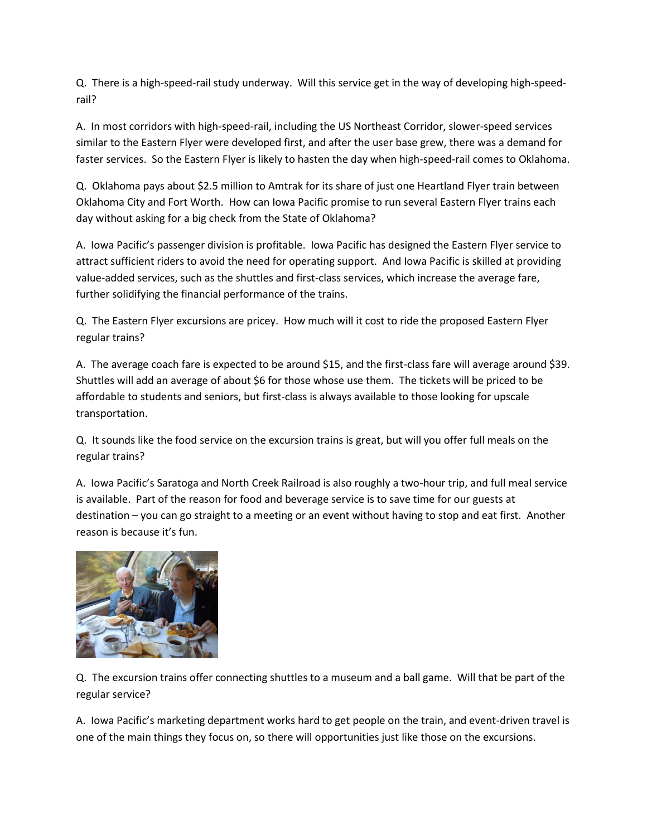Q. There is a high-speed-rail study underway. Will this service get in the way of developing high-speedrail?

A. In most corridors with high-speed-rail, including the US Northeast Corridor, slower-speed services similar to the Eastern Flyer were developed first, and after the user base grew, there was a demand for faster services. So the Eastern Flyer is likely to hasten the day when high-speed-rail comes to Oklahoma.

Q. Oklahoma pays about \$2.5 million to Amtrak for its share of just one Heartland Flyer train between Oklahoma City and Fort Worth. How can Iowa Pacific promise to run several Eastern Flyer trains each day without asking for a big check from the State of Oklahoma?

A. Iowa Pacific's passenger division is profitable. Iowa Pacific has designed the Eastern Flyer service to attract sufficient riders to avoid the need for operating support. And Iowa Pacific is skilled at providing value-added services, such as the shuttles and first-class services, which increase the average fare, further solidifying the financial performance of the trains.

Q. The Eastern Flyer excursions are pricey. How much will it cost to ride the proposed Eastern Flyer regular trains?

A. The average coach fare is expected to be around \$15, and the first-class fare will average around \$39. Shuttles will add an average of about \$6 for those whose use them. The tickets will be priced to be affordable to students and seniors, but first-class is always available to those looking for upscale transportation.

Q. It sounds like the food service on the excursion trains is great, but will you offer full meals on the regular trains?

A. Iowa Pacific's Saratoga and North Creek Railroad is also roughly a two-hour trip, and full meal service is available. Part of the reason for food and beverage service is to save time for our guests at destination – you can go straight to a meeting or an event without having to stop and eat first. Another reason is because it's fun.



Q. The excursion trains offer connecting shuttles to a museum and a ball game. Will that be part of the regular service?

A. Iowa Pacific's marketing department works hard to get people on the train, and event-driven travel is one of the main things they focus on, so there will opportunities just like those on the excursions.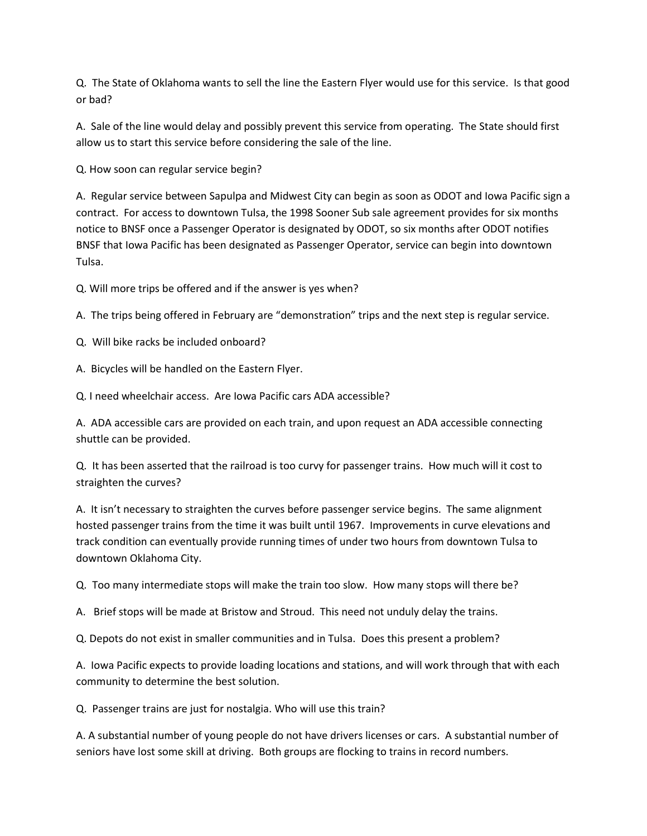Q. The State of Oklahoma wants to sell the line the Eastern Flyer would use for this service. Is that good or bad?

A. Sale of the line would delay and possibly prevent this service from operating. The State should first allow us to start this service before considering the sale of the line.

Q. How soon can regular service begin?

A. Regular service between Sapulpa and Midwest City can begin as soon as ODOT and Iowa Pacific sign a contract. For access to downtown Tulsa, the 1998 Sooner Sub sale agreement provides for six months notice to BNSF once a Passenger Operator is designated by ODOT, so six months after ODOT notifies BNSF that Iowa Pacific has been designated as Passenger Operator, service can begin into downtown Tulsa.

Q. Will more trips be offered and if the answer is yes when?

A. The trips being offered in February are "demonstration" trips and the next step is regular service.

Q. Will bike racks be included onboard?

A. Bicycles will be handled on the Eastern Flyer.

Q. I need wheelchair access. Are Iowa Pacific cars ADA accessible?

A. ADA accessible cars are provided on each train, and upon request an ADA accessible connecting shuttle can be provided.

Q. It has been asserted that the railroad is too curvy for passenger trains. How much will it cost to straighten the curves?

A. It isn't necessary to straighten the curves before passenger service begins. The same alignment hosted passenger trains from the time it was built until 1967. Improvements in curve elevations and track condition can eventually provide running times of under two hours from downtown Tulsa to downtown Oklahoma City.

Q. Too many intermediate stops will make the train too slow. How many stops will there be?

A. Brief stops will be made at Bristow and Stroud. This need not unduly delay the trains.

Q. Depots do not exist in smaller communities and in Tulsa. Does this present a problem?

A. Iowa Pacific expects to provide loading locations and stations, and will work through that with each community to determine the best solution.

Q. Passenger trains are just for nostalgia. Who will use this train?

A. A substantial number of young people do not have drivers licenses or cars. A substantial number of seniors have lost some skill at driving. Both groups are flocking to trains in record numbers.